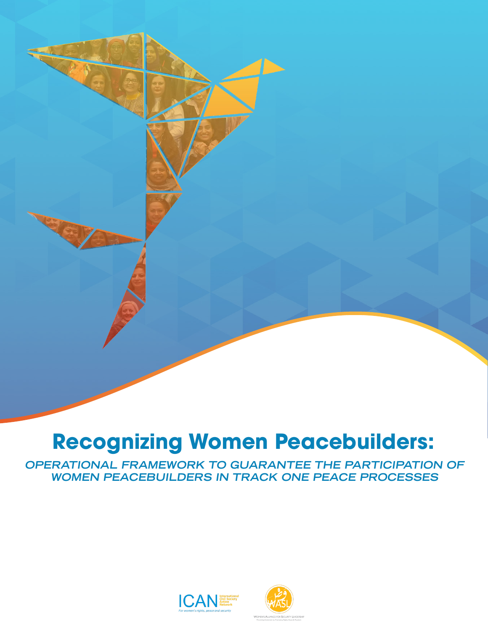# **Recognizing Women Peacebuilders:**

**OPERATIONAL FRAMEWORK TO GUARANTEE THE PARTICIPATION OF WOMEN PEACEBUILDERS IN TRACK ONE PEACE PROCESSES**



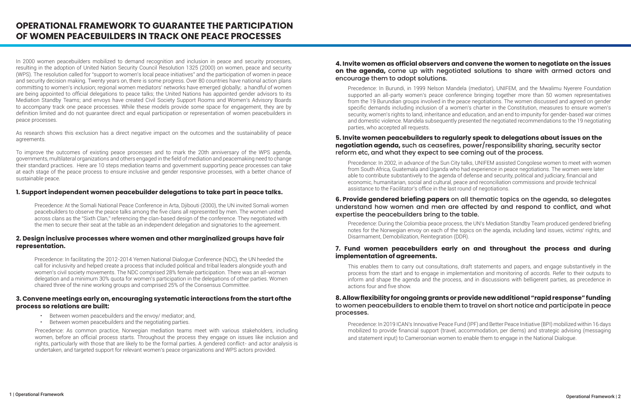In 2000 women peacebuilders mobilized to demand recognition and inclusion in peace and security processes, resulting in the adoption of United Nation Security Council Resolution 1325 (2000) on women, peace and security (WPS). The resolution called for "support to women's local peace initiatives" and the participation of women in peace and security decision making. Twenty years on, there is some progress. Over 80 countries have national action plans committing to women's inclusion; regional women mediators' networks have emerged globally; a handful of women are being appointed to official delegations to peace talks; the United Nations has appointed gender advisors to its Mediation Standby Teams; and envoys have created Civil Society Support Rooms and Women's Advisory Boards to accompany track one peace processes. While these models provide some space for engagement, they are by definition limited and do not guarantee direct and equal participation or representation of women peacebuilders in peace processes.

As research shows this exclusion has a direct negative impact on the outcomes and the sustainability of peace agreements.

To improve the outcomes of existing peace processes and to mark the 20th anniversary of the WPS agenda, governments, multilateral organizations and others engaged in the field of mediation and peacemaking need to change their standard practices. Here are 10 steps mediation teams and government supporting peace processes can take at each stage of the peace process to ensure inclusive and gender responsive processes, with a better chance of sustainable peace.

#### **1. Support independent women peacebuilder delegations to take part in peace talks.**

Precedence: At the Somali National Peace Conference in Arta, Djibouti (2000), the UN invited Somali women peacebuilders to observe the peace talks among the five clans all represented by men. The women united across clans as the "Sixth Clan," referencing the clan-based design of the conference. They negotiated with the men to secure their seat at the table as an independent delegation and signatories to the agreement.

#### **2. Design inclusive processes where women and other marginalized groups have fair representation.**

Precedence: In facilitating the 2012-2014 Yemen National Dialogue Conference (NDC), the UN heeded the call for inclusivity and helped create a process that included political and tribal leaders alongside youth and women's civil society movements. The NDC comprised 28% female participation. There was an all-woman delegation and a minimum 30% quota for women's participation in the delegations of other parties. Women chaired three of the nine working groups and comprised 25% of the Consensus Committee.

#### **3. Convene meetings early on, encouraging systematic interactions from the start ofthe process so relations are built:**

# **OPERATIONAL FRAMEWORK TO GUARANTEE THE PARTICIPATION OF WOMEN PEACEBUILDERS IN TRACK ONE PEACE PROCESSES**

- Between women peacebuilders and the envoy/ mediator; and,
- Between women peacebuilders and the negotiating parties.

Precedence: As common practice, Norwegian mediation teams meet with various stakeholders, including women, before an official process starts. Throughout the process they engage on issues like inclusion and rights, particularly with those that are likely to be the formal parties. A gendered conflict- and actor analysis is undertaken, and targeted support for relevant women's peace organizations and WPS actors provided.

### **4. Invite women as official observers and convene the women to negotiate on the issues on the agenda,** come up with negotiated solutions to share with armed actors and encourage them to adopt solutions.

# **5. Invite women peacebuilders to regularly speak to delegations about issues on the negotiation agenda,** such as ceasefires, power/responsibility sharing, security sector reform etc, and what they expect to see coming out of the process.

# **6. Provide gendered briefing papers** on all thematic topics on the agenda, so delegates understand how women and men are affected by and respond to conflict, and what expertise the peacebuilders bring to the table.

## **7. Fund women peacebuilders early on and throughout the process and during implementation of agreements.**

# **8. Allow flexibility for ongoing grants or provide new additional "rapid response" funding**  to women peacebuilders to enable them to travel on short notice and participate in peace processes.

Precedence: In Burundi, in 1999 Nelson Mandela (mediator), UNIFEM, and the Mwalimu Nyerere Foundation supported an all-party women's peace conference bringing together more than 50 women representatives from the 19 Burundian groups involved in the peace negotiations. The women discussed and agreed on gender specific demands including inclusion of a women's charter in the Constitution, measures to ensure women's security, women's rights to land, inheritance and education, and an end to impunity for gender-based war crimes and domestic violence. Mandela subsequently presented the negotiated recommendations to the 19 negotiating parties, who accepted all requests.

Precedence: In 2002, in advance of the Sun City talks, UNIFEM assisted Congolese women to meet with women from South Africa, Guatemala and Uganda who had experience in peace negotiations. The women were later able to contribute substantively to the agenda of defense and security, political and judiciary, financial and economic, humanitarian, social and cultural, peace and reconciliation commissions and provide technical assistance to the Facilitator's office in the last round of negotiations.

Precedence: During the Colombia peace process, the UN's Mediation Standby Team produced gendered briefing notes for the Norwegian envoy on each of the topics on the agenda, including land issues, victims' rights, and Disarmament, Demobilization, Reintegration (DDR).

This enables them to carry out consultations, draft statements and papers, and engage substantively in the process from the start and to engage in implementation and monitoring of accords. Refer to their outputs to inform and shape the agenda and the process, and in discussions with belligerent parties, as precedence in actions four and five show.

Precedence: In 2019 ICAN's Innovative Peace Fund (IPF) and Better Peace Initiative (BPI) mobilized within 16 days mobilized to provide financial support (travel, accommodation, per diems) and strategic advising (messaging and statement input) to Cameroonian women to enable them to engage in the National Dialogue.